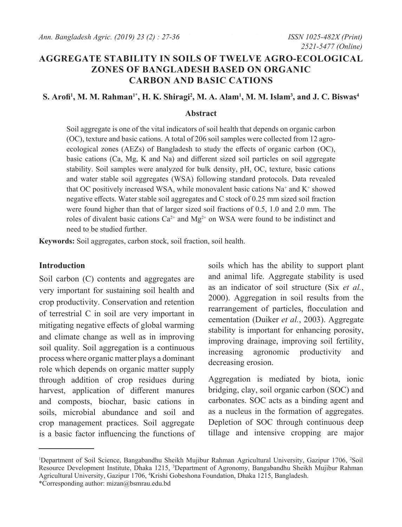# **AGGREGATE STABILITY IN SOILS OF TWELVE AGRO-ECOLOGICAL ZONES OF BANGLADESH BASED ON ORGANIC CARBON AND BASIC CATIONS**

#### $\mathbf{S}.$  Arofi<sup>1</sup>, M. M. Rahman<sup>1\*</sup>, H. K. Shiragi<sup>2</sup>, M. A. Alam<sup>1</sup>, M. M. Islam<sup>3</sup>, and J. C. Biswas<sup>4</sup>

#### **Abstract**

Soil aggregate is one of the vital indicators of soil health that depends on organic carbon (OC), texture and basic cations. A total of 206 soil samples were collected from 12 agroecological zones (AEZs) of Bangladesh to study the effects of organic carbon (OC), basic cations (Ca, Mg, K and Na) and different sized soil particles on soil aggregate stability. Soil samples were analyzed for bulk density, pH, OC, texture, basic cations and water stable soil aggregates (WSA) following standard protocols. Data revealed that OC positively increased WSA, while monovalent basic cations  $Na^+$  and  $K^+$  showed negative effects. Water stable soil aggregates and C stock of 0.25 mm sized soil fraction were found higher than that of larger sized soil fractions of 0.5, 1.0 and 2.0 mm. The roles of divalent basic cations  $Ca^{2+}$  and  $Mg^{2+}$  on WSA were found to be indistinct and need to be studied further.

**Keywords:** Soil aggregates, carbon stock, soil fraction, soil health.

#### **Introduction**

Soil carbon (C) contents and aggregates are very important for sustaining soil health and crop productivity. Conservation and retention of terrestrial C in soil are very important in mitigating negative effects of global warming and climate change as well as in improving soil quality. Soil aggregation is a continuous process where organic matter plays a dominant role which depends on organic matter supply through addition of crop residues during harvest, application of different manures and composts, biochar, basic cations in soils, microbial abundance and soil and crop management practices. Soil aggregate is a basic factor influencing the functions of soils which has the ability to support plant and animal life. Aggregate stability is used as an indicator of soil structure (Six *et al.*, 2000). Aggregation in soil results from the rearrangement of particles, flocculation and cementation (Duiker *et al.*, 2003). Aggregate stability is important for enhancing porosity, improving drainage, improving soil fertility, increasing agronomic productivity and decreasing erosion.

Aggregation is mediated by biota, ionic bridging, clay, soil organic carbon (SOC) and carbonates. SOC acts as a binding agent and as a nucleus in the formation of aggregates. Depletion of SOC through continuous deep tillage and intensive cropping are major

<sup>&</sup>lt;sup>1</sup>Department of Soil Science, Bangabandhu Sheikh Mujibur Rahman Agricultural University, Gazipur 1706, <sup>2</sup>Soil Resource Development Institute, Dhaka 1215, <sup>3</sup>Department of Agronomy, Bangabandhu Sheikh Mujibur Rahman Agricultural University, Gazipur 1706, <sup>4</sup> Krishi Gobeshona Foundation, Dhaka 1215, Bangladesh.

<sup>\*</sup>Corresponding author: mizan@bsmrau.edu.bd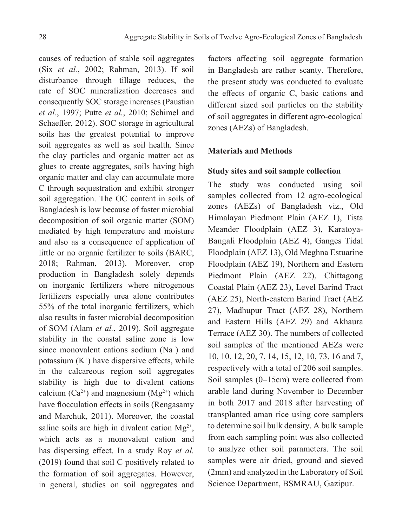causes of reduction of stable soil aggregates (Six *et al.*, 2002; Rahman, 2013). If soil disturbance through tillage reduces, the rate of SOC mineralization decreases and consequently SOC storage increases (Paustian *et al.*, 1997; Putte *et al.*, 2010; Schimel and Schaeffer, 2012). SOC storage in agricultural soils has the greatest potential to improve soil aggregates as well as soil health. Since the clay particles and organic matter act as glues to create aggregates, soils having high organic matter and clay can accumulate more C through sequestration and exhibit stronger soil aggregation. The OC content in soils of Bangladesh is low because of faster microbial decomposition of soil organic matter (SOM) mediated by high temperature and moisture and also as a consequence of application of little or no organic fertilizer to soils (BARC, 2018; Rahman, 2013). Moreover, crop production in Bangladesh solely depends on inorganic fertilizers where nitrogenous fertilizers especially urea alone contributes 55% of the total inorganic fertilizers, which also results in faster microbial decomposition of SOM (Alam *et al.*, 2019). Soil aggregate stability in the coastal saline zone is low since monovalent cations sodium  $(Na<sup>+</sup>)$  and potassium  $(K^+)$  have dispersive effects, while in the calcareous region soil aggregates stability is high due to divalent cations calcium  $(Ca^{2+})$  and magnesium  $(Mg^{2+})$  which have flocculation effects in soils (Rengasamy and Marchuk, 2011). Moreover, the coastal saline soils are high in divalent cation  $Mg^{2+}$ , which acts as a monovalent cation and has dispersing effect. In a study Roy *et al.* (2019) found that soil C positively related to the formation of soil aggregates. However, in general, studies on soil aggregates and

factors affecting soil aggregate formation in Bangladesh are rather scanty. Therefore, the present study was conducted to evaluate the effects of organic C, basic cations and different sized soil particles on the stability of soil aggregates in different agro-ecological zones (AEZs) of Bangladesh.

## **Materials and Methods**

#### **Study sites and soil sample collection**

The study was conducted using soil samples collected from 12 agro-ecological zones (AEZs) of Bangladesh viz., Old Himalayan Piedmont Plain (AEZ 1), Tista Meander Floodplain (AEZ 3), Karatoya-Bangali Floodplain (AEZ 4), Ganges Tidal Floodplain (AEZ 13), Old Meghna Estuarine Floodplain (AEZ 19), Northern and Eastern Piedmont Plain (AEZ 22), Chittagong Coastal Plain (AEZ 23), Level Barind Tract (AEZ 25), North-eastern Barind Tract (AEZ 27), Madhupur Tract (AEZ 28), Northern and Eastern Hills (AEZ 29) and Akhaura Terrace (AEZ 30). The numbers of collected soil samples of the mentioned AEZs were 10, 10, 12, 20, 7, 14, 15, 12, 10, 73, 16 and 7, respectively with a total of 206 soil samples. Soil samples (0–15cm) were collected from arable land during November to December in both 2017 and 2018 after harvesting of transplanted aman rice using core samplers to determine soil bulk density. A bulk sample from each sampling point was also collected to analyze other soil parameters. The soil samples were air dried, ground and sieved (2mm) and analyzed in the Laboratory of Soil Science Department, BSMRAU, Gazipur.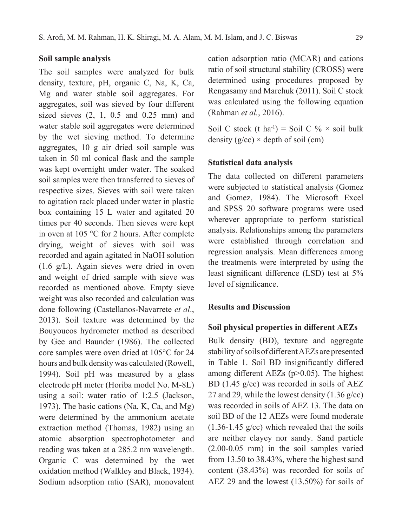## **Soil sample analysis**

The soil samples were analyzed for bulk density, texture, pH, organic C, Na, K, Ca, Mg and water stable soil aggregates. For aggregates, soil was sieved by four different sized sieves (2, 1, 0.5 and 0.25 mm) and water stable soil aggregates were determined by the wet sieving method. To determine aggregates, 10 g air dried soil sample was taken in 50 ml conical flask and the sample was kept overnight under water. The soaked soil samples were then transferred to sieves of respective sizes. Sieves with soil were taken to agitation rack placed under water in plastic box containing 15 L water and agitated 20 times per 40 seconds. Then sieves were kept in oven at 105 °C for 2 hours. After complete drying, weight of sieves with soil was recorded and again agitated in NaOH solution (1.6 g/L). Again sieves were dried in oven and weight of dried sample with sieve was recorded as mentioned above. Empty sieve weight was also recorded and calculation was done following (Castellanos-Navarrete *et al*., 2013). Soil texture was determined by the Bouyoucos hydrometer method as described by Gee and Baunder (1986). The collected core samples were oven dried at 105°C for 24 hours and bulk density was calculated (Rowell, 1994). Soil pH was measured by a glass electrode pH meter (Horiba model No. M-8L) using a soil: water ratio of 1:2.5 (Jackson, 1973). The basic cations (Na, K, Ca, and Mg) were determined by the ammonium acetate extraction method (Thomas, 1982) using an atomic absorption spectrophotometer and reading was taken at a 285.2 nm wavelength. Organic C was determined by the wet oxidation method (Walkley and Black, 1934). Sodium adsorption ratio (SAR), monovalent

cation adsorption ratio (MCAR) and cations ratio of soil structural stability (CROSS) were determined using procedures proposed by Rengasamy and Marchuk (2011). Soil C stock was calculated using the following equation (Rahman *et al.*, 2016).

Soil C stock (t ha<sup>-1</sup>) = Soil C %  $\times$  soil bulk density  $(g/cc) \times depth$  of soil (cm)

#### **Statistical data analysis**

The data collected on different parameters were subjected to statistical analysis (Gomez and Gomez, 1984). The Microsoft Excel and SPSS 20 software programs were used wherever appropriate to perform statistical analysis. Relationships among the parameters were established through correlation and regression analysis. Mean differences among the treatments were interpreted by using the least significant difference (LSD) test at 5% level of significance.

### **Results and Discussion**

## **Soil physical properties in different AEZs**

Bulk density (BD), texture and aggregate stability of soils of different AEZs are presented in Table 1. Soil BD insignificantly differed among different AEZs (p>0.05). The highest BD (1.45 g/cc) was recorded in soils of AEZ 27 and 29, while the lowest density  $(1.36 \text{ g/cc})$ was recorded in soils of AEZ 13. The data on soil BD of the 12 AEZs were found moderate  $(1.36-1.45 \text{ g/cc})$  which revealed that the soils are neither clayey nor sandy. Sand particle (2.00-0.05 mm) in the soil samples varied from 13.50 to 38.43%, where the highest sand content (38.43%) was recorded for soils of AEZ 29 and the lowest (13.50%) for soils of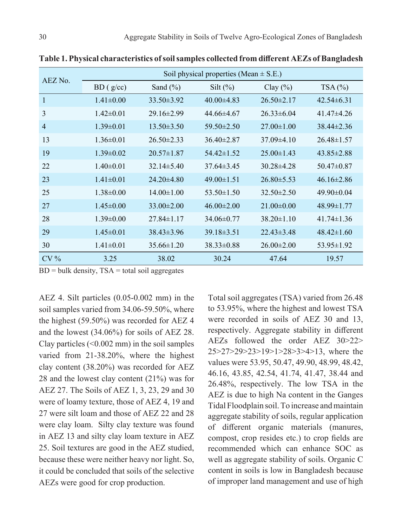| AEZ No.        | Soil physical properties (Mean $\pm$ S.E.) |                  |                  |                  |                  |  |  |
|----------------|--------------------------------------------|------------------|------------------|------------------|------------------|--|--|
|                | BD(g/cc)                                   | Sand $(\% )$     | Silt $(\%)$      | Clay $(\%)$      | TSA(%)           |  |  |
| $\mathbf{1}$   | $1.41 \pm 0.00$                            | $33.50 \pm 3.92$ | $40.00\pm4.83$   | $26.50 \pm 2.17$ | $42.54\pm 6.31$  |  |  |
| 3              | $1.42 \pm 0.01$                            | $29.16 \pm 2.99$ | $44.66\pm4.67$   | $26.33\pm 6.04$  | $41.47\pm4.26$   |  |  |
| $\overline{4}$ | $1.39 \pm 0.01$                            | $13.50 \pm 3.50$ | $59.50 \pm 2.50$ | $27.00 \pm 1.00$ | $38.44 \pm 2.36$ |  |  |
| 13             | $1.36\pm0.01$                              | $26.50 \pm 2.33$ | $36.40 \pm 2.87$ | $37.09\pm4.10$   | $26.48 \pm 1.57$ |  |  |
| 19             | $1.39 \pm 0.02$                            | $20.57 \pm 1.87$ | $54.42\pm1.52$   | $25.00\pm1.43$   | $43.85 \pm 2.88$ |  |  |
| 22             | $1.40 \pm 0.01$                            | $32.14 \pm 5.40$ | $37.64\pm3.45$   | $30.28\pm4.28$   | $50.47\pm0.87$   |  |  |
| 23             | $1.41 \pm 0.01$                            | $24.20\pm4.80$   | $49.00 \pm 1.51$ | $26.80\pm5.53$   | $46.16\pm2.86$   |  |  |
| 25             | $1.38 \pm 0.00$                            | $14.00 \pm 1.00$ | $53.50 \pm 1.50$ | $32.50 \pm 2.50$ | $49.90 \pm 0.04$ |  |  |
| 27             | $1.45 \pm 0.00$                            | $33.00 \pm 2.00$ | $46.00 \pm 2.00$ | $21.00\pm0.00$   | $48.99 \pm 1.77$ |  |  |
| 28             | $1.39 \pm 0.00$                            | $27.84\pm1.17$   | $34.06\pm0.77$   | $38.20 \pm 1.10$ | $41.74 \pm 1.36$ |  |  |
| 29             | $1.45 \pm 0.01$                            | $38.43 \pm 3.96$ | $39.18 \pm 3.51$ | $22.43\pm3.48$   | $48.42 \pm 1.60$ |  |  |
| 30             | $1.41 \pm 0.01$                            | $35.66 \pm 1.20$ | $38.33 \pm 0.88$ | $26.00 \pm 2.00$ | $53.95 \pm 1.92$ |  |  |
| $CV\%$         | 3.25                                       | 38.02            | 30.24            | 47.64            | 19.57            |  |  |

**Table 1. Physical characteristics of soil samples collected from different AEZs of Bangladesh**

 $BD = bulk density, TSA = total soil aggregates$ 

AEZ 4. Silt particles (0.05-0.002 mm) in the soil samples varied from 34.06-59.50%, where the highest (59.50%) was recorded for AEZ 4 and the lowest (34.06%) for soils of AEZ 28. Clay particles  $( $0.002 \text{ mm}$ )$  in the soil samples varied from 21-38.20%, where the highest clay content (38.20%) was recorded for AEZ 28 and the lowest clay content (21%) was for AEZ 27. The Soils of AEZ 1, 3, 23, 29 and 30 were of loamy texture, those of AEZ 4, 19 and 27 were silt loam and those of AEZ 22 and 28 were clay loam. Silty clay texture was found in AEZ 13 and silty clay loam texture in AEZ 25. Soil textures are good in the AEZ studied, because these were neither heavy nor light. So, it could be concluded that soils of the selective AEZs were good for crop production.

Total soil aggregates (TSA) varied from 26.48 to 53.95%, where the highest and lowest TSA were recorded in soils of AEZ 30 and 13, respectively. Aggregate stability in different AEZs followed the order AEZ 30>22> 25>27>29>23>19>1>28>3>4>13, where the values were 53.95, 50.47, 49.90, 48.99, 48.42, 46.16, 43.85, 42.54, 41.74, 41.47, 38.44 and 26.48%, respectively. The low TSA in the AEZ is due to high Na content in the Ganges Tidal Floodplain soil. To increase and maintain aggregate stability of soils, regular application of different organic materials (manures, compost, crop resides etc.) to crop fields are recommended which can enhance SOC as well as aggregate stability of soils. Organic C content in soils is low in Bangladesh because of improper land management and use of high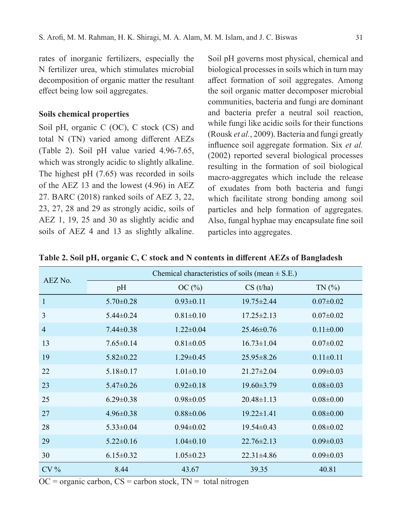rates of inorganic fertilizers, especially the N fertilizer urea, which stimulates microbial decomposition of organic matter the resultant effect being low soil aggregates.

## **Soils chemical properties**

Soil pH, organic C (OC), C stock (CS) and total N (TN) varied among different AEZs (Table 2). Soil pH value varied 4.96-7.65, which was strongly acidic to slightly alkaline. The highest pH (7.65) was recorded in soils of the AEZ 13 and the lowest (4.96) in AEZ 27. BARC (2018) ranked soils of AEZ 3, 22, 23, 27, 28 and 29 as strongly acidic, soils of AEZ 1, 19, 25 and 30 as slightly acidic and soils of AEZ 4 and 13 as slightly alkaline.

Soil pH governs most physical, chemical and biological processes in soils which in turn may affect formation of soil aggregates. Among the soil organic matter decomposer microbial communities, bacteria and fungi are dominant and bacteria prefer a neutral soil reaction, while fungi like acidic soils for their functions (Rousk *et al.*, 2009). Bacteria and fungi greatly influence soil aggregate formation. Six *et al.* (2002) reported several biological processes resulting in the formation of soil biological macro-aggregates which include the release of exudates from both bacteria and fungi which facilitate strong bonding among soil particles and help formation of aggregates. Also, fungal hyphae may encapsulate fine soil particles into aggregates.

| AEZ No.        | Chemical characteristics of soils (mean $\pm$ S.E.) |                 |                  |                 |  |
|----------------|-----------------------------------------------------|-----------------|------------------|-----------------|--|
|                | pH                                                  | OC(%)           | CS(t/ha)         | TN(%            |  |
| $\mathbf{1}$   | $5.70 \pm 0.28$                                     | $0.93 \pm 0.11$ | $19.75 \pm 2.44$ | $0.07 \pm 0.02$ |  |
| 3              | $5.44 \pm 0.24$                                     | $0.81 \pm 0.10$ | $17.25 \pm 2.13$ | $0.07 \pm 0.02$ |  |
| $\overline{4}$ | $7.44 \pm 0.38$                                     | $1.22 \pm 0.04$ | $25.46 \pm 0.76$ | $0.11 \pm 0.00$ |  |
| 13             | $7.65 \pm 0.14$                                     | $0.81 \pm 0.05$ | $16.73 \pm 1.04$ | $0.07 \pm 0.02$ |  |
| 19             | $5.82 \pm 0.22$                                     | $1.29 \pm 0.45$ | $25.95 \pm 8.26$ | $0.11 \pm 0.11$ |  |
| 22             | $5.18 \pm 0.17$                                     | $1.01 \pm 0.10$ | $21.27 \pm 2.04$ | $0.09 \pm 0.03$ |  |
| 23             | $5.47 \pm 0.26$                                     | $0.92 \pm 0.18$ | $19.60 \pm 3.79$ | $0.08 \pm 0.03$ |  |
| 25             | $6.29 \pm 0.38$                                     | $0.98 \pm 0.05$ | $20.48 \pm 1.13$ | $0.08 \pm 0.00$ |  |
| 27             | $4.96 \pm 0.38$                                     | $0.88 \pm 0.06$ | $19.22 \pm 1.41$ | $0.08 \pm 0.00$ |  |
| 28             | $5.33 \pm 0.04$                                     | $0.94 \pm 0.02$ | $19.54 \pm 0.43$ | $0.08 \pm 0.02$ |  |
| 29             | $5.22 \pm 0.16$                                     | $1.04 \pm 0.10$ | $22.76 \pm 2.13$ | $0.09 \pm 0.03$ |  |
| 30             | $6.15 \pm 0.32$                                     | $1.05 \pm 0.23$ | $22.31 \pm 4.86$ | $0.09 \pm 0.03$ |  |
| $CV\%$         | 8.44                                                | 43.67           | 39.35            | 40.81           |  |

**Table 2. Soil pH, organic C, C stock and N contents in different AEZs of Bangladesh**

 $OC = organic carbon, CS = carbon stock, TN = total nitrogen$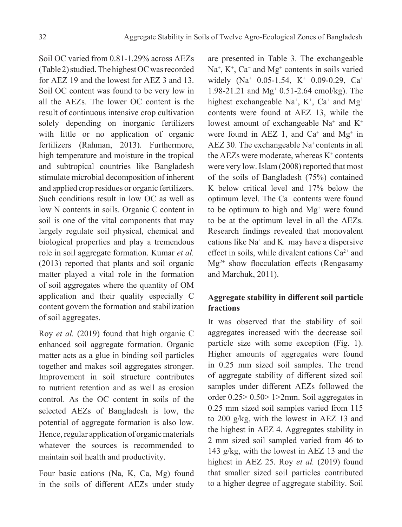Soil OC varied from 0.81-1.29% across AEZs (Table 2) studied. The highest OC was recorded for AEZ 19 and the lowest for AEZ 3 and 13. Soil OC content was found to be very low in all the AEZs. The lower OC content is the result of continuous intensive crop cultivation solely depending on inorganic fertilizers with little or no application of organic fertilizers (Rahman, 2013). Furthermore, high temperature and moisture in the tropical and subtropical countries like Bangladesh stimulate microbial decomposition of inherent and applied crop residues or organic fertilizers. Such conditions result in low OC as well as low N contents in soils. Organic C content in soil is one of the vital components that may largely regulate soil physical, chemical and biological properties and play a tremendous role in soil aggregate formation. Kumar *et al.* (2013) reported that plants and soil organic matter played a vital role in the formation of soil aggregates where the quantity of OM application and their quality especially C content govern the formation and stabilization of soil aggregates.

Roy *et al.* (2019) found that high organic C enhanced soil aggregate formation. Organic matter acts as a glue in binding soil particles together and makes soil aggregates stronger. Improvement in soil structure contributes to nutrient retention and as well as erosion control. As the OC content in soils of the selected AEZs of Bangladesh is low, the potential of aggregate formation is also low. Hence, regular application of organic materials whatever the sources is recommended to maintain soil health and productivity.

Four basic cations (Na, K, Ca, Mg) found in the soils of different AEZs under study

are presented in Table 3. The exchangeable  $Na<sup>+</sup>, K<sup>+</sup>, Ca<sup>+</sup> and Mg<sup>+</sup> contents in soils varied$ widely (Na<sup>+</sup> 0.05-1.54, K<sup>+</sup> 0.09-0.29, Ca<sup>+</sup> 1.98-21.21 and Mg<sup>+</sup> 0.51-2.64 cmol/kg). The highest exchangeable  $Na^+$ ,  $K^+$ ,  $Ca^+$  and  $Mg^+$ contents were found at AEZ 13, while the lowest amount of exchangeable Na<sup>+</sup> and K<sup>+</sup> were found in AEZ 1, and  $Ca^+$  and  $Mg^+$  in AEZ 30. The exchangeable Na<sup>+</sup> contents in all the AEZs were moderate, whereas  $K^+$  contents were very low. Islam (2008) reported that most of the soils of Bangladesh (75%) contained K below critical level and 17% below the optimum level. The Ca<sup>+</sup> contents were found to be optimum to high and Mg<sup>+</sup> were found to be at the optimum level in all the AEZs. Research findings revealed that monovalent cations like  $Na^+$  and  $K^+$  may have a dispersive effect in soils, while divalent cations  $Ca^{2+}$  and  $Mg^{2+}$  show flocculation effects (Rengasamy and Marchuk, 2011).

## **Aggregate stability in different soil particle fractions**

It was observed that the stability of soil aggregates increased with the decrease soil particle size with some exception (Fig. 1). Higher amounts of aggregates were found in 0.25 mm sized soil samples. The trend of aggregate stability of different sized soil samples under different AEZs followed the order 0.25> 0.50> 1>2mm. Soil aggregates in 0.25 mm sized soil samples varied from 115 to 200 g/kg, with the lowest in AEZ 13 and the highest in AEZ 4. Aggregates stability in 2 mm sized soil sampled varied from 46 to 143 g/kg, with the lowest in AEZ 13 and the highest in AEZ 25. Roy *et al.* (2019) found that smaller sized soil particles contributed to a higher degree of aggregate stability. Soil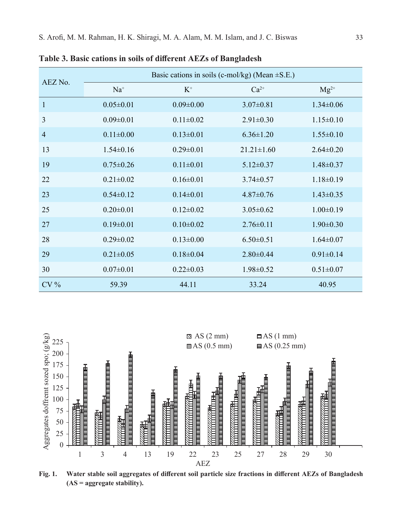| AEZ No.        | Basic cations in soils (c-mol/kg) (Mean $\pm$ S.E.) |                 |                  |                 |  |
|----------------|-----------------------------------------------------|-----------------|------------------|-----------------|--|
|                | $Na+$                                               | $K^+$           | $Ca^{2+}$        | $Mg^{2+}$       |  |
| $\mathbf{1}$   | $0.05 \pm 0.01$                                     | $0.09 \pm 0.00$ | $3.07 \pm 0.81$  | $1.34 \pm 0.06$ |  |
| 3              | $0.09 \pm 0.01$                                     | $0.11 \pm 0.02$ | $2.91 \pm 0.30$  | $1.15 \pm 0.10$ |  |
| $\overline{4}$ | $0.11 \pm 0.00$                                     | $0.13 \pm 0.01$ | $6.36 \pm 1.20$  | $1.55 \pm 0.10$ |  |
| 13             | $1.54 \pm 0.16$                                     | $0.29 \pm 0.01$ | $21.21 \pm 1.60$ | $2.64 \pm 0.20$ |  |
| 19             | $0.75 \pm 0.26$                                     | $0.11 \pm 0.01$ | $5.12 \pm 0.37$  | $1.48 \pm 0.37$ |  |
| 22             | $0.21 \pm 0.02$                                     | $0.16 \pm 0.01$ | $3.74 \pm 0.57$  | $1.18 \pm 0.19$ |  |
| 23             | $0.54 \pm 0.12$                                     | $0.14 \pm 0.01$ | $4.87 \pm 0.76$  | $1.43 \pm 0.35$ |  |
| 25             | $0.20 \pm 0.01$                                     | $0.12\pm0.02$   | $3.05 \pm 0.62$  | $1.00 \pm 0.19$ |  |
| 27             | $0.19 \pm 0.01$                                     | $0.10 \pm 0.02$ | $2.76\pm0.11$    | $1.90 \pm 0.30$ |  |
| 28             | $0.29 \pm 0.02$                                     | $0.13 \pm 0.00$ | $6.50 \pm 0.51$  | $1.64 \pm 0.07$ |  |
| 29             | $0.21 \pm 0.05$                                     | $0.18 \pm 0.04$ | $2.80 \pm 0.44$  | $0.91 \pm 0.14$ |  |
| 30             | $0.07 \pm 0.01$                                     | $0.22 \pm 0.03$ | $1.98 \pm 0.52$  | $0.51 \pm 0.07$ |  |
| $CV\%$         | 59.39                                               | 44.11           | 33.24            | 40.95           |  |

**Table 3. Basic cations in soils of different AEZs of Bangladesh**



**Fig. 1. Water stable soil aggregates of different soil particle size fractions in different AEZs of Bangladesh (AS = aggregate stability).**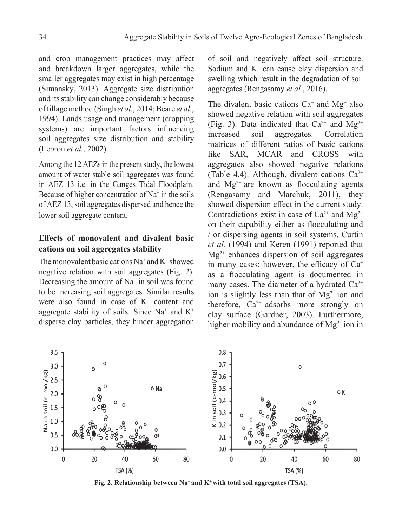and crop management practices may affect and breakdown larger aggregates, while the smaller aggregates may exist in high percentage (Simansky, 2013). Aggregate size distribution and its stability can change considerably because of tillage method (Singh *et al.*, 2014; Beare *et al.*, 1994). Lands usage and management (cropping systems) are important factors influencing soil aggregates size distribution and stability (Lebron *et al.*, 2002).

Among the 12 AEZs in the present study, the lowest amount of water stable soil aggregates was found in AEZ 13 i.e. in the Ganges Tidal Floodplain. Because of higher concentration of  $Na<sup>+</sup>$  in the soils of AEZ 13, soil aggregates dispersed and hence the lower soil aggregate content.

## **Effects of monovalent and divalent basic cations on soil aggregates stability**

The monovalent basic cations  $Na^+$  and  $K^+$  showed negative relation with soil aggregates (Fig. 2). Decreasing the amount of  $Na<sup>+</sup>$  in soil was found to be increasing soil aggregates. Similar results were also found in case of  $K^+$  content and aggregate stability of soils. Since  $Na^+$  and  $K^+$ disperse clay particles, they hinder aggregation

of soil and negatively affect soil structure. Sodium and  $K^+$  can cause clay dispersion and swelling which result in the degradation of soil aggregates (Rengasamy *et al.*, 2016).

The divalent basic cations  $Ca^+$  and  $Mg^+$  also showed negative relation with soil aggregates (Fig. 3). Data indicated that  $Ca^{2+}$  and  $Mg^{2+}$ increased soil aggregates. Correlation matrices of different ratios of basic cations like SAR, MCAR and CROSS with aggregates also showed negative relations (Table 4.4). Although, divalent cations  $Ca^{2+}$ and  $Mg^{2+}$  are known as flocculating agents (Rengasamy and Marchuk, 2011), they showed dispersion effect in the current study. Contradictions exist in case of  $Ca^{2+}$  and  $Mg^{2+}$ on their capability either as flocculating and / or dispersing agents in soil systems. Curtin *et al.* (1994) and Keren (1991) reported that  $Mg^{2+}$  enhances dispersion of soil aggregates in many cases; however, the efficacy of  $Ca<sup>+</sup>$ as a flocculating agent is documented in many cases. The diameter of a hydrated  $Ca^{2+}$ ion is slightly less than that of  $Mg^{2+}$  ion and therefore,  $Ca^{2+}$  adsorbs more strongly on clay surface (Gardner, 2003). Furthermore, higher mobility and abundance of  $Mg^{2+}$  ion in



Fig. 2. Relationship between Na<sup>+</sup> and K<sup>+</sup> with total soil aggregates (TSA).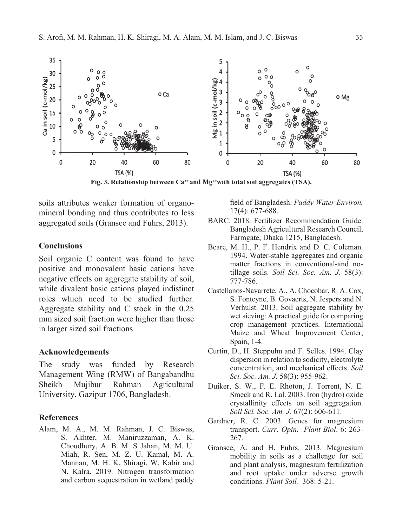

Fig. 3. Relationship between  $Ca^{2+}$  and  $Mg^{2+}$  with total soil aggregates (TSA).

soils attributes weaker formation of organomineral bonding and thus contributes to less aggregated soils (Gransee and Fuhrs, 2013).

## **Conclusions**

Soil organic C content was found to have positive and monovalent basic cations have negative effects on aggregate stability of soil, while divalent basic cations played indistinct roles which need to be studied further. Aggregate stability and C stock in the 0.25 mm sized soil fraction were higher than those in larger sized soil fractions.

## **Acknowledgements**

The study was funded by Research Management Wing (RMW) of Bangabandhu Sheikh Mujibur Rahman Agricultural University, Gazipur 1706, Bangladesh.

#### **References**

Alam, M. A., M. M. Rahman, J. C. Biswas, S. Akhter, M. Maniruzzaman, A. K. Choudhury, A. B. M. S Jahan, M. M. U. Miah, R. Sen, M. Z. U. Kamal, M. A. Mannan, M. H. K. Shiragi, W. Kabir and N. Kalra. 2019. Nitrogen transformation and carbon sequestration in wetland paddy

field of Bangladesh. *Paddy Water Environ.*  17(4): 677-688.

- BARC. 2018. Fertilizer Recommendation Guide. Bangladesh Agricultural Research Council, Farmgate, Dhaka 1215, Bangladesh.
- Beare, M. H., P. F. Hendrix and D. C. Coleman. 1994. Water-stable aggregates and organic matter fractions in conventional-and notillage soils. *Soil Sci. Soc. Am. J.* 58(3): 777-786.
- Castellanos-Navarrete, A., A. Chocobar, R. A. Cox, S. Fonteyne, B. Govaerts, N. Jespers and N. Verhulst. 2013. Soil aggregate stability by wet sieving: A practical guide for comparing crop management practices. International Maize and Wheat Improvement Center, Spain, 1-4.
- Curtin, D., H. Steppuhn and F. Selles. 1994. Clay dispersion in relation to sodicity, electrolyte concentration, and mechanical effects. *Soil Sci. Soc. Am. J.* 58(3): 955-962.
- Duiker, S. W., F. E. Rhoton, J. Torrent, N. E. Smeck and R. Lal. 2003. Iron (hydro) oxide crystallinity effects on soil aggregation. *Soil Sci. Soc. Am. J.* 67(2): 606-611.
- Gardner, R. C. 2003. Genes for magnesium transport. *Curr. Opin. Plant Biol*. 6: 263- 267.
- Gransee, A. and H. Fuhrs. 2013. Magnesium mobility in soils as a challenge for soil and plant analysis, magnesium fertilization and root uptake under adverse growth conditions. *Plant Soil.* 368: 5-21.